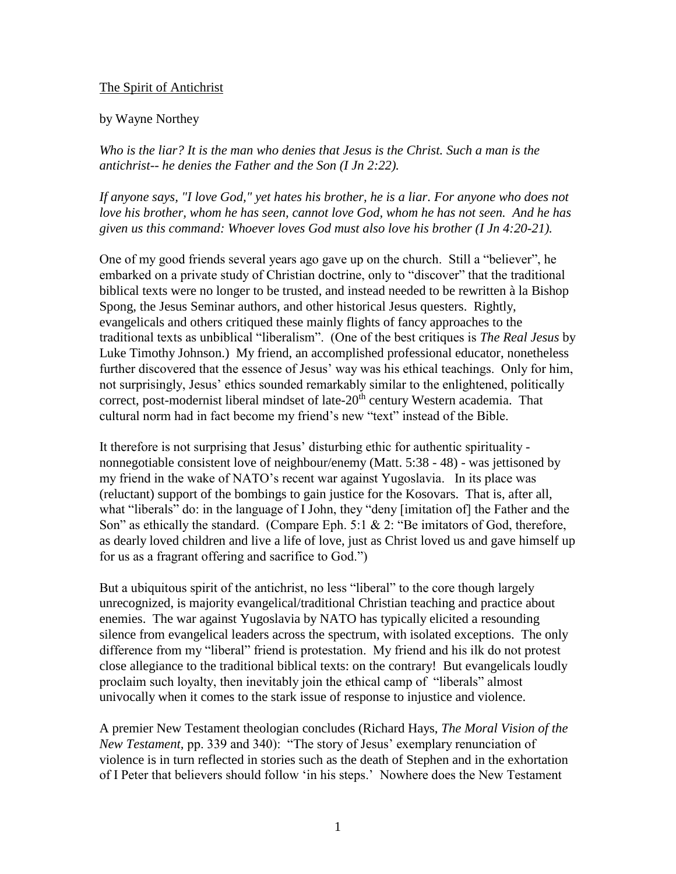## The Spirit of Antichrist

## by Wayne Northey

*Who is the liar? It is the man who denies that Jesus is the Christ. Such a man is the antichrist-- he denies the Father and the Son (I Jn 2:22).* 

*If anyone says, "I love God," yet hates his brother, he is a liar. For anyone who does not love his brother, whom he has seen, cannot love God, whom he has not seen. And he has given us this command: Whoever loves God must also love his brother (I Jn 4:20-21).*

One of my good friends several years ago gave up on the church. Still a "believer", he embarked on a private study of Christian doctrine, only to "discover" that the traditional biblical texts were no longer to be trusted, and instead needed to be rewritten à la Bishop Spong, the Jesus Seminar authors, and other historical Jesus questers. Rightly, evangelicals and others critiqued these mainly flights of fancy approaches to the traditional texts as unbiblical "liberalism". (One of the best critiques is *The Real Jesus* by Luke Timothy Johnson.) My friend, an accomplished professional educator, nonetheless further discovered that the essence of Jesus' way was his ethical teachings. Only for him, not surprisingly, Jesus' ethics sounded remarkably similar to the enlightened, politically correct, post-modernist liberal mindset of late-20<sup>th</sup> century Western academia. That cultural norm had in fact become my friend's new "text" instead of the Bible.

It therefore is not surprising that Jesus' disturbing ethic for authentic spirituality nonnegotiable consistent love of neighbour/enemy (Matt. 5:38 - 48) - was jettisoned by my friend in the wake of NATO's recent war against Yugoslavia. In its place was (reluctant) support of the bombings to gain justice for the Kosovars. That is, after all, what "liberals" do: in the language of I John, they "deny [imitation of] the Father and the Son" as ethically the standard. (Compare Eph. 5:1 & 2: "Be imitators of God, therefore, as dearly loved children and live a life of love, just as Christ loved us and gave himself up for us as a fragrant offering and sacrifice to God.")

But a ubiquitous spirit of the antichrist, no less "liberal" to the core though largely unrecognized, is majority evangelical/traditional Christian teaching and practice about enemies. The war against Yugoslavia by NATO has typically elicited a resounding silence from evangelical leaders across the spectrum, with isolated exceptions. The only difference from my "liberal" friend is protestation. My friend and his ilk do not protest close allegiance to the traditional biblical texts: on the contrary! But evangelicals loudly proclaim such loyalty, then inevitably join the ethical camp of "liberals" almost univocally when it comes to the stark issue of response to injustice and violence.

A premier New Testament theologian concludes (Richard Hays, *The Moral Vision of the New Testament,* pp. 339 and 340): "The story of Jesus' exemplary renunciation of violence is in turn reflected in stories such as the death of Stephen and in the exhortation of I Peter that believers should follow 'in his steps.' Nowhere does the New Testament